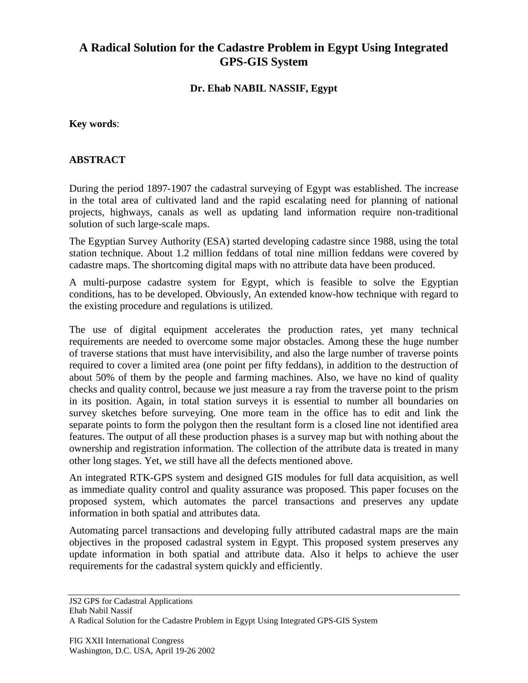## **A Radical Solution for the Cadastre Problem in Egypt Using Integrated GPS-GIS System**

**Dr. Ehab NABIL NASSIF, Egypt**

**Key words**:

## **ABSTRACT**

During the period 1897-1907 the cadastral surveying of Egypt was established. The increase in the total area of cultivated land and the rapid escalating need for planning of national projects, highways, canals as well as updating land information require non-traditional solution of such large-scale maps.

The Egyptian Survey Authority (ESA) started developing cadastre since 1988, using the total station technique. About 1.2 million feddans of total nine million feddans were covered by cadastre maps. The shortcoming digital maps with no attribute data have been produced.

A multi-purpose cadastre system for Egypt, which is feasible to solve the Egyptian conditions, has to be developed. Obviously, An extended know-how technique with regard to the existing procedure and regulations is utilized.

The use of digital equipment accelerates the production rates, yet many technical requirements are needed to overcome some major obstacles. Among these the huge number of traverse stations that must have intervisibility, and also the large number of traverse points required to cover a limited area (one point per fifty feddans), in addition to the destruction of about 50% of them by the people and farming machines. Also, we have no kind of quality checks and quality control, because we just measure a ray from the traverse point to the prism in its position. Again, in total station surveys it is essential to number all boundaries on survey sketches before surveying. One more team in the office has to edit and link the separate points to form the polygon then the resultant form is a closed line not identified area features. The output of all these production phases is a survey map but with nothing about the ownership and registration information. The collection of the attribute data is treated in many other long stages. Yet, we still have all the defects mentioned above.

An integrated RTK-GPS system and designed GIS modules for full data acquisition, as well as immediate quality control and quality assurance was proposed. This paper focuses on the proposed system, which automates the parcel transactions and preserves any update information in both spatial and attributes data.

Automating parcel transactions and developing fully attributed cadastral maps are the main objectives in the proposed cadastral system in Egypt. This proposed system preserves any update information in both spatial and attribute data. Also it helps to achieve the user requirements for the cadastral system quickly and efficiently.